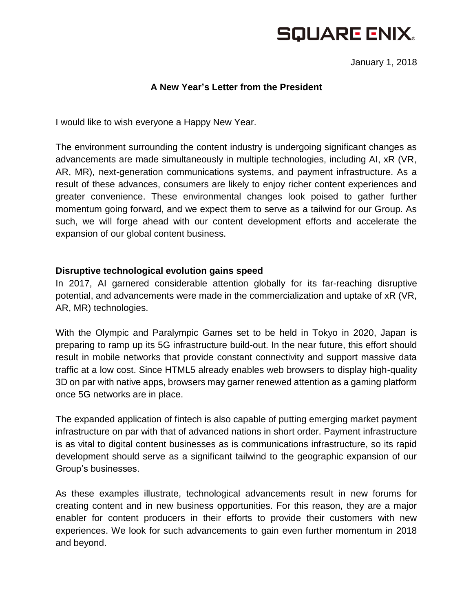# **SQUARE ENIX.**

January 1, 2018

### **A New Year's Letter from the President**

I would like to wish everyone a Happy New Year.

The environment surrounding the content industry is undergoing significant changes as advancements are made simultaneously in multiple technologies, including AI, xR (VR, AR, MR), next-generation communications systems, and payment infrastructure. As a result of these advances, consumers are likely to enjoy richer content experiences and greater convenience. These environmental changes look poised to gather further momentum going forward, and we expect them to serve as a tailwind for our Group. As such, we will forge ahead with our content development efforts and accelerate the expansion of our global content business.

### **Disruptive technological evolution gains speed**

In 2017, AI garnered considerable attention globally for its far-reaching disruptive potential, and advancements were made in the commercialization and uptake of xR (VR, AR, MR) technologies.

With the Olympic and Paralympic Games set to be held in Tokyo in 2020, Japan is preparing to ramp up its 5G infrastructure build-out. In the near future, this effort should result in mobile networks that provide constant connectivity and support massive data traffic at a low cost. Since HTML5 already enables web browsers to display high-quality 3D on par with native apps, browsers may garner renewed attention as a gaming platform once 5G networks are in place.

The expanded application of fintech is also capable of putting emerging market payment infrastructure on par with that of advanced nations in short order. Payment infrastructure is as vital to digital content businesses as is communications infrastructure, so its rapid development should serve as a significant tailwind to the geographic expansion of our Group's businesses.

As these examples illustrate, technological advancements result in new forums for creating content and in new business opportunities. For this reason, they are a major enabler for content producers in their efforts to provide their customers with new experiences. We look for such advancements to gain even further momentum in 2018 and beyond.